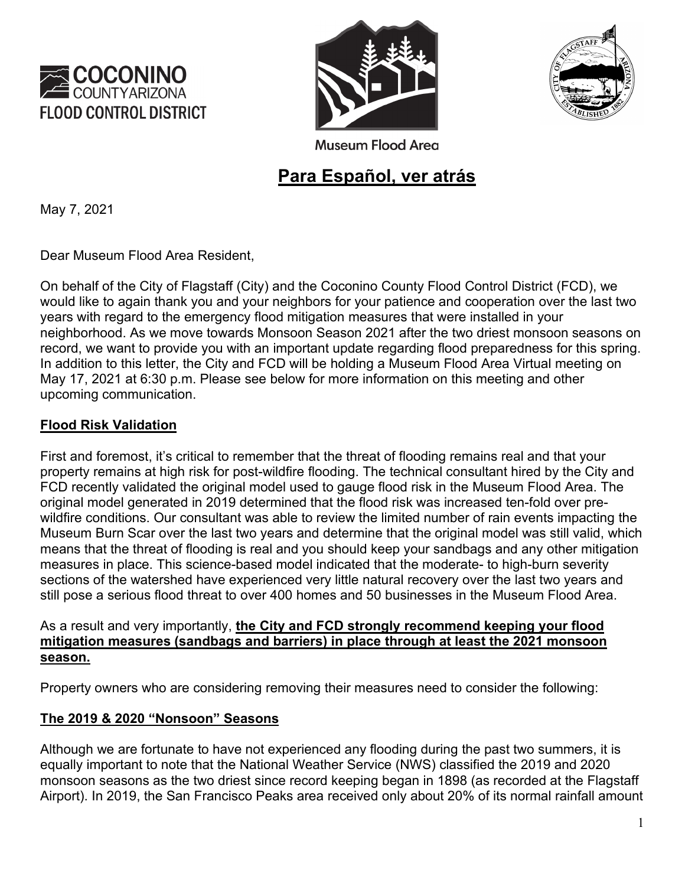





**Museum Flood Area** 

# **Para Español, ver atrás**

May 7, 2021

Dear Museum Flood Area Resident,

On behalf of the City of Flagstaff (City) and the Coconino County Flood Control District (FCD), we would like to again thank you and your neighbors for your patience and cooperation over the last two years with regard to the emergency flood mitigation measures that were installed in your neighborhood. As we move towards Monsoon Season 2021 after the two driest monsoon seasons on record, we want to provide you with an important update regarding flood preparedness for this spring. In addition to this letter, the City and FCD will be holding a Museum Flood Area Virtual meeting on May 17, 2021 at 6:30 p.m. Please see below for more information on this meeting and other upcoming communication.

## **Flood Risk Validation**

First and foremost, it's critical to remember that the threat of flooding remains real and that your property remains at high risk for post-wildfire flooding. The technical consultant hired by the City and FCD recently validated the original model used to gauge flood risk in the Museum Flood Area. The original model generated in 2019 determined that the flood risk was increased ten-fold over prewildfire conditions. Our consultant was able to review the limited number of rain events impacting the Museum Burn Scar over the last two years and determine that the original model was still valid, which means that the threat of flooding is real and you should keep your sandbags and any other mitigation measures in place. This science-based model indicated that the moderate- to high-burn severity sections of the watershed have experienced very little natural recovery over the last two years and still pose a serious flood threat to over 400 homes and 50 businesses in the Museum Flood Area.

#### As a result and very importantly, **the City and FCD strongly recommend keeping your flood mitigation measures (sandbags and barriers) in place through at least the 2021 monsoon season.**

Property owners who are considering removing their measures need to consider the following:

## **The 2019 & 2020 "Nonsoon" Seasons**

Although we are fortunate to have not experienced any flooding during the past two summers, it is equally important to note that the National Weather Service (NWS) classified the 2019 and 2020 monsoon seasons as the two driest since record keeping began in 1898 (as recorded at the Flagstaff Airport). In 2019, the San Francisco Peaks area received only about 20% of its normal rainfall amount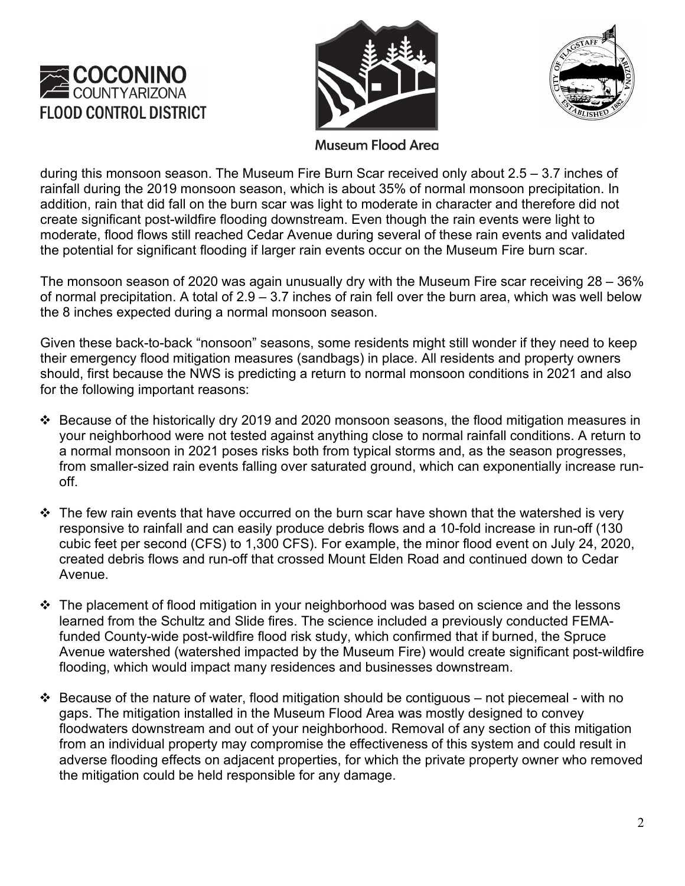





**Museum Flood Area** 

during this monsoon season. The Museum Fire Burn Scar received only about 2.5 – 3.7 inches of rainfall during the 2019 monsoon season, which is about 35% of normal monsoon precipitation. In addition, rain that did fall on the burn scar was light to moderate in character and therefore did not create significant post-wildfire flooding downstream. Even though the rain events were light to moderate, flood flows still reached Cedar Avenue during several of these rain events and validated the potential for significant flooding if larger rain events occur on the Museum Fire burn scar.

The monsoon season of 2020 was again unusually dry with the Museum Fire scar receiving 28 – 36% of normal precipitation. A total of 2.9 – 3.7 inches of rain fell over the burn area, which was well below the 8 inches expected during a normal monsoon season.

Given these back-to-back "nonsoon" seasons, some residents might still wonder if they need to keep their emergency flood mitigation measures (sandbags) in place. All residents and property owners should, first because the NWS is predicting a return to normal monsoon conditions in 2021 and also for the following important reasons:

- Because of the historically dry 2019 and 2020 monsoon seasons, the flood mitigation measures in your neighborhood were not tested against anything close to normal rainfall conditions. A return to a normal monsoon in 2021 poses risks both from typical storms and, as the season progresses, from smaller-sized rain events falling over saturated ground, which can exponentially increase runoff.
- $\cdot \cdot$  The few rain events that have occurred on the burn scar have shown that the watershed is very responsive to rainfall and can easily produce debris flows and a 10-fold increase in run-off (130 cubic feet per second (CFS) to 1,300 CFS). For example, the minor flood event on July 24, 2020, created debris flows and run-off that crossed Mount Elden Road and continued down to Cedar Avenue.
- $\div$  The placement of flood mitigation in your neighborhood was based on science and the lessons learned from the Schultz and Slide fires. The science included a previously conducted FEMAfunded County-wide post-wildfire flood risk study, which confirmed that if burned, the Spruce Avenue watershed (watershed impacted by the Museum Fire) would create significant post-wildfire flooding, which would impact many residences and businesses downstream.
- $\div$  Because of the nature of water, flood mitigation should be contiguous not piecemeal with no gaps. The mitigation installed in the Museum Flood Area was mostly designed to convey floodwaters downstream and out of your neighborhood. Removal of any section of this mitigation from an individual property may compromise the effectiveness of this system and could result in adverse flooding effects on adjacent properties, for which the private property owner who removed the mitigation could be held responsible for any damage.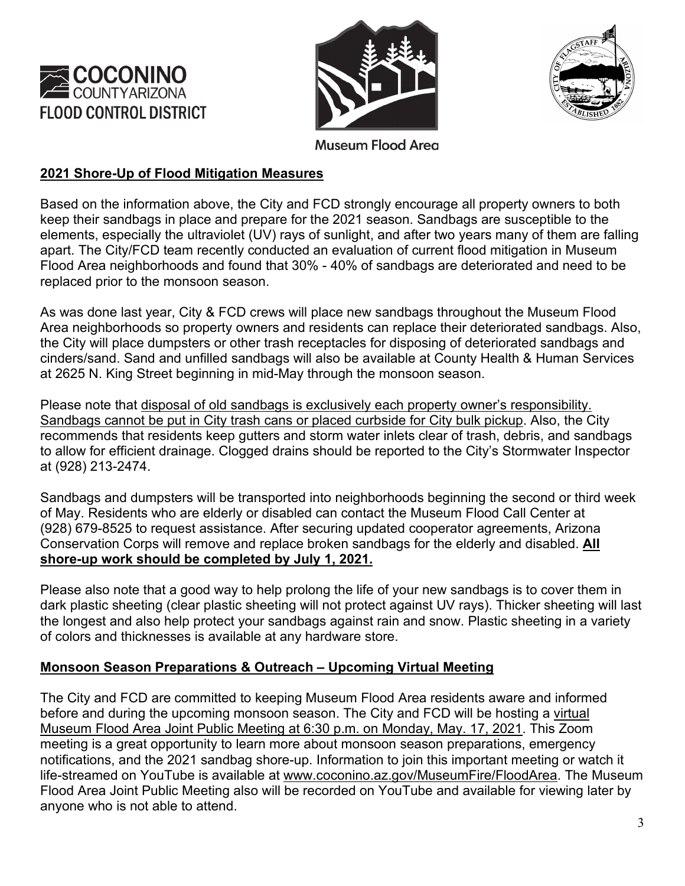





**Museum Flood Area** 

## **2021 Shore-Up of Flood Mitigation Measures**

Based on the information above, the City and FCD strongly encourage all property owners to both keep their sandbags in place and prepare for the 2021 season. Sandbags are susceptible to the elements, especially the ultraviolet (UV) rays of sunlight, and after two years many of them are falling apart. The City/FCD team recently conducted an evaluation of current flood mitigation in Museum Flood Area neighborhoods and found that 30% - 40% of sandbags are deteriorated and need to be replaced prior to the monsoon season.

As was done last year, City & FCD crews will place new sandbags throughout the Museum Flood Area neighborhoods so property owners and residents can replace their deteriorated sandbags. Also, the City will place dumpsters or other trash receptacles for disposing of deteriorated sandbags and cinders/sand. Sand and unfilled sandbags will also be available at County Health & Human Services at 2625 N. King Street beginning in mid-May through the monsoon season.

Please note that disposal of old sandbags is exclusively each property owner's responsibility. Sandbags cannot be put in City trash cans or placed curbside for City bulk pickup. Also, the City recommends that residents keep gutters and storm water inlets clear of trash, debris, and sandbags to allow for efficient drainage. Clogged drains should be reported to the City's Stormwater Inspector at (928) 213-2474.

Sandbags and dumpsters will be transported into neighborhoods beginning the second or third week of May. Residents who are elderly or disabled can contact the Museum Flood Call Center at (928) 679-8525 to request assistance. After securing updated cooperator agreements, Arizona Conservation Corps will remove and replace broken sandbags for the elderly and disabled. **All shore-up work should be completed by July 1, 2021.**

Please also note that a good way to help prolong the life of your new sandbags is to cover them in dark plastic sheeting (clear plastic sheeting will not protect against UV rays). Thicker sheeting will last the longest and also help protect your sandbags against rain and snow. Plastic sheeting in a variety of colors and thicknesses is available at any hardware store.

## **Monsoon Season Preparations & Outreach – Upcoming Virtual Meeting**

The City and FCD are committed to keeping Museum Flood Area residents aware and informed before and during the upcoming monsoon season. The City and FCD will be hosting a virtual Museum Flood Area Joint Public Meeting at 6:30 p.m. on Monday, May. 17, 2021. This Zoom meeting is a great opportunity to learn more about monsoon season preparations, emergency notifications, and the 2021 sandbag shore-up. Information to join this important meeting or watch it life-streamed on YouTube is available at [www.coconino.az.gov/MuseumFire/FloodArea.](http://www.coconino.az.gov/MuseumFire/FloodArea) The Museum Flood Area Joint Public Meeting also will be recorded on YouTube and available for viewing later by anyone who is not able to attend.